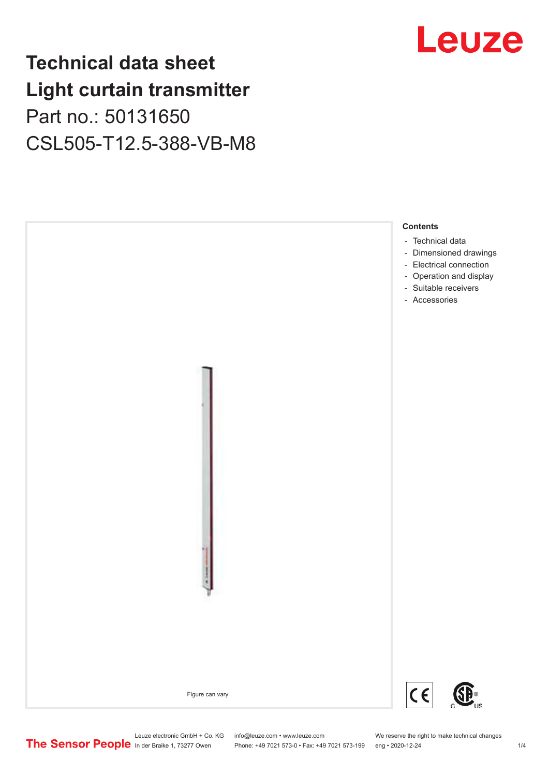## **Technical data sheet Light curtain transmitter**

Part no.: 50131650 CSL505-T12.5-388-VB-M8



# Leuze

Leuze electronic GmbH + Co. KG info@leuze.com • www.leuze.com We reserve the right to make technical changes<br>
The Sensor People in der Braike 1, 73277 Owen Phone: +49 7021 573-0 • Fax: +49 7021 573-199 eng • 2020-12-24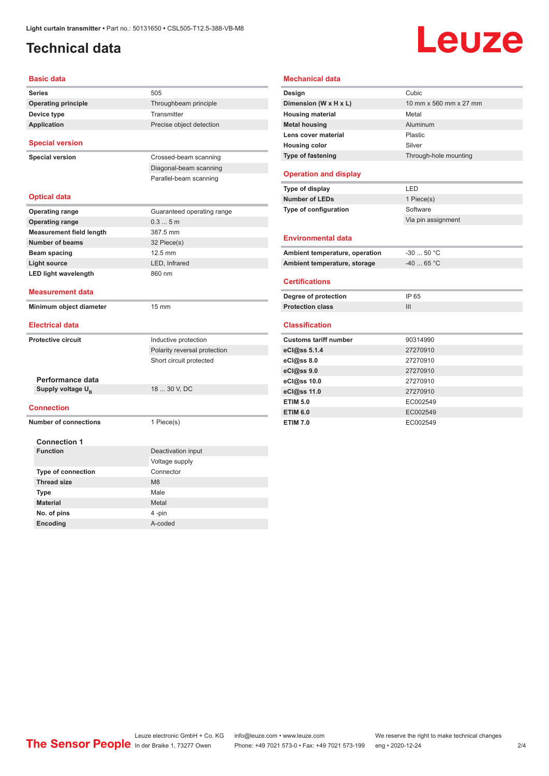### <span id="page-1-0"></span>**Technical data**

# Leuze

| <b>Basic data</b>               |                              |
|---------------------------------|------------------------------|
| <b>Series</b>                   | 505                          |
| <b>Operating principle</b>      | Throughbeam principle        |
| Device type                     | Transmitter                  |
| <b>Application</b>              | Precise object detection     |
| <b>Special version</b>          |                              |
| <b>Special version</b>          | Crossed-beam scanning        |
|                                 | Diagonal-beam scanning       |
|                                 | Parallel-beam scanning       |
|                                 |                              |
| <b>Optical data</b>             |                              |
| <b>Operating range</b>          | Guaranteed operating range   |
| <b>Operating range</b>          | 0.35m                        |
| <b>Measurement field length</b> | 387.5 mm                     |
| Number of beams                 | 32 Piece(s)                  |
| <b>Beam spacing</b>             | 12.5 mm                      |
| <b>Light source</b>             | LED, Infrared                |
| <b>LED light wavelength</b>     | 860 nm                       |
| <b>Measurement data</b>         |                              |
|                                 |                              |
| Minimum object diameter         | 15 mm                        |
| <b>Electrical data</b>          |                              |
| <b>Protective circuit</b>       | Inductive protection         |
|                                 | Polarity reversal protection |
|                                 | Short circuit protected      |
|                                 |                              |
| Performance data                |                              |
| Supply voltage U <sub>B</sub>   | 18  30 V, DC                 |
| <b>Connection</b>               |                              |
| <b>Number of connections</b>    | 1 Piece(s)                   |
|                                 |                              |
| <b>Connection 1</b>             |                              |
| <b>Function</b>                 | Deactivation input           |
|                                 | Voltage supply               |
| <b>Type of connection</b>       | Connector                    |
| <b>Thread size</b>              | M <sub>8</sub>               |
| <b>Type</b>                     | Male                         |
| <b>Material</b><br>No. of pins  | Metal<br>4-pin               |

| Design                                                                                                                                                                                                                   | Cubic                  |
|--------------------------------------------------------------------------------------------------------------------------------------------------------------------------------------------------------------------------|------------------------|
| Dimension (W x H x L)                                                                                                                                                                                                    | 10 mm x 560 mm x 27 mm |
| <b>Housing material</b>                                                                                                                                                                                                  | Metal                  |
| <b>Metal housing</b>                                                                                                                                                                                                     | Aluminum               |
| Lens cover material                                                                                                                                                                                                      | Plastic                |
| <b>Housing color</b>                                                                                                                                                                                                     | Silver                 |
| <b>Type of fastening</b>                                                                                                                                                                                                 | Through-hole mounting  |
| <b>Operation and display</b>                                                                                                                                                                                             |                        |
| Type of display                                                                                                                                                                                                          | LED                    |
| <b>Number of LEDs</b>                                                                                                                                                                                                    | 1 Piece(s)             |
| Type of configuration                                                                                                                                                                                                    | Software               |
|                                                                                                                                                                                                                          | Via pin assignment     |
| <b>Environmental data</b>                                                                                                                                                                                                |                        |
| Ambient temperature, operation                                                                                                                                                                                           | $-3050 °C$             |
| Ambient temperature, storage                                                                                                                                                                                             | $-4065 °C$             |
| <b>Certifications</b>                                                                                                                                                                                                    |                        |
|                                                                                                                                                                                                                          |                        |
|                                                                                                                                                                                                                          | IP 65                  |
|                                                                                                                                                                                                                          | III                    |
|                                                                                                                                                                                                                          |                        |
|                                                                                                                                                                                                                          | 90314990               |
|                                                                                                                                                                                                                          | 27270910               |
|                                                                                                                                                                                                                          | 27270910               |
|                                                                                                                                                                                                                          | 27270910               |
|                                                                                                                                                                                                                          | 27270910               |
|                                                                                                                                                                                                                          | 27270910               |
|                                                                                                                                                                                                                          | EC002549               |
| Degree of protection<br><b>Protection class</b><br><b>Classification</b><br><b>Customs tariff number</b><br>eCl@ss 5.1.4<br>eCl@ss 8.0<br>eCl@ss 9.0<br>eCl@ss 10.0<br>eCl@ss 11.0<br><b>ETIM 5.0</b><br><b>ETIM 6.0</b> | EC002549               |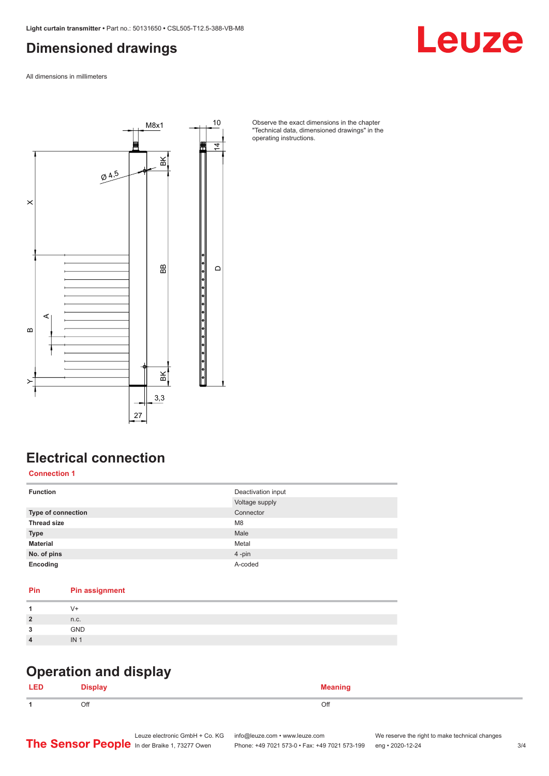#### <span id="page-2-0"></span>**Dimensioned drawings**

Leuze

All dimensions in millimeters



Observe the exact dimensions in the chapter "Technical data, dimensioned drawings" in the operating instructions.

#### **Electrical connection**

**Connection 1**

| <b>Function</b>           | Deactivation input<br>Voltage supply |
|---------------------------|--------------------------------------|
| <b>Type of connection</b> | Connector                            |
| <b>Thread size</b>        | M <sub>8</sub>                       |
| <b>Type</b>               | Male                                 |
| <b>Material</b>           | Metal                                |
| No. of pins               | 4-pin                                |
| Encoding                  | A-coded                              |

#### **Pin Pin assignment**

|                | V+              |
|----------------|-----------------|
| $\overline{2}$ | n.c.            |
| 2              | GND             |
|                | IN <sub>1</sub> |
|                |                 |

#### **Operation and display**

| LEI | <b>Nienlaw</b> | <b>Meaning</b><br>--- <del>-</del> ----- |
|-----|----------------|------------------------------------------|
|     | Off            | Off                                      |